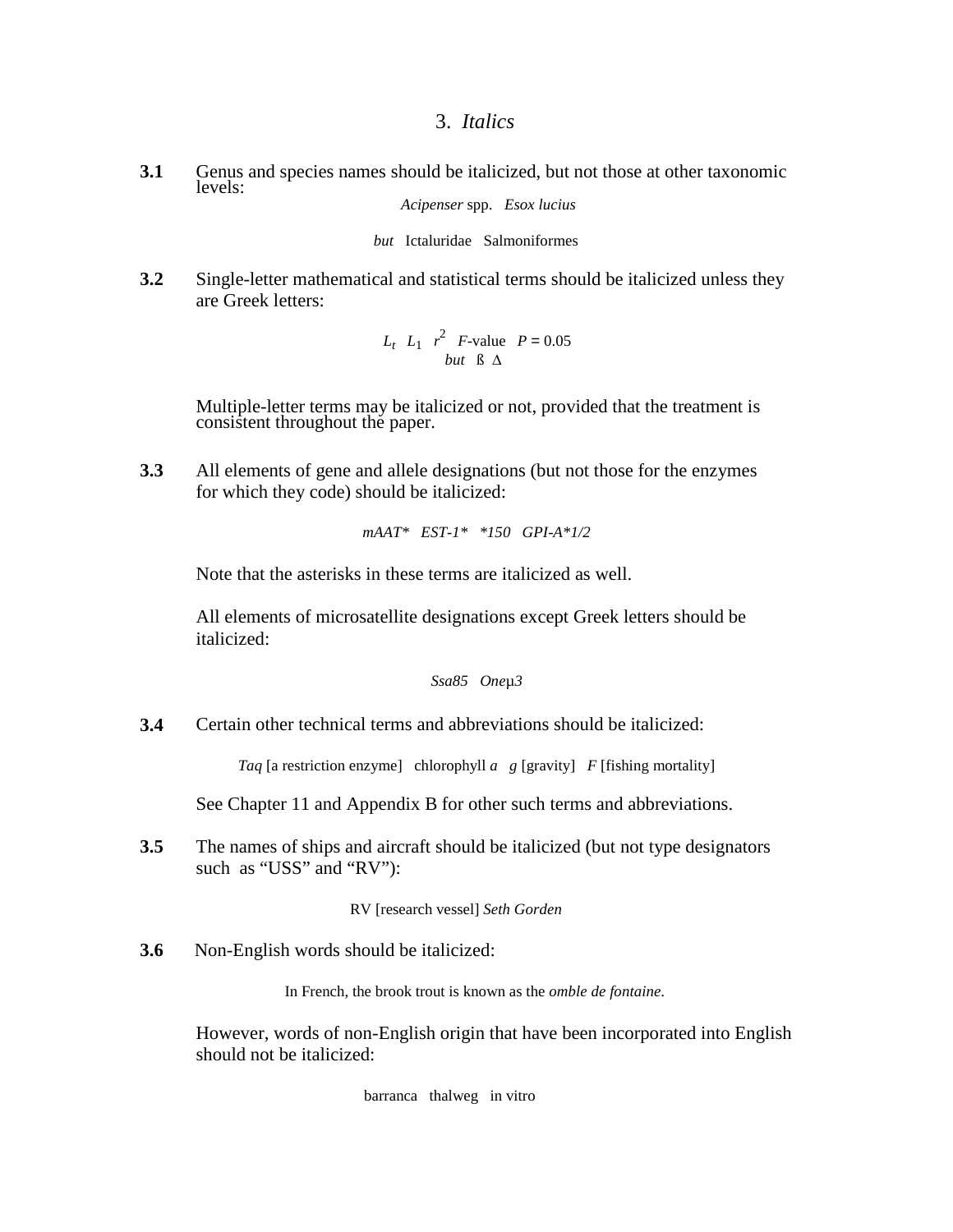## 3. *Italics*

**3.1** Genus and species names should be italicized, but not those at other taxonomic levels:

*Acipenser* spp. *Esox lucius*

*but* Ictaluridae Salmoniformes

**3.2** Single-letter mathematical and statistical terms should be italicized unless they are Greek letters:

> $L_t$   $L_1$   $r^2$  *F*-value *P* = 0.05 *but* ß ∆

Multiple-letter terms may be italicized or not, provided that the treatment is consistent throughout the paper.

**3.3** All elements of gene and allele designations (but not those for the enzymes for which they code) should be italicized:

*mAAT\* EST-1\* \*150 GPI-A\*1/2*

Note that the asterisks in these terms are italicized as well.

All elements of microsatellite designations except Greek letters should be italicized:

```
Ssa85 Oneµ3
```
**3.4** Certain other technical terms and abbreviations should be italicized:

*Taq* [a restriction enzyme] chlorophyll *a g* [gravity] *F* [fishing mortality]

See Chapter 11 and Appendix B for other such terms and abbreviations.

**3.5** The names of ships and aircraft should be italicized (but not type designators such as "USS" and "RV"):

RV [research vessel] *Seth Gorden*

**3.6** Non-English words should be italicized:

In French, the brook trout is known as the *omble de fontaine*.

However, words of non-English origin that have been incorporated into English should not be italicized:

barranca thalweg in vitro